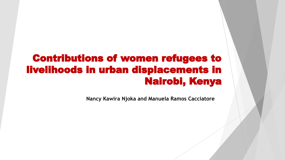## Contributions of women refugees to livelihoods in urban displacements in Nairobi, Kenya

**Nancy Kawira Njoka and Manuela Ramos Cacciatore**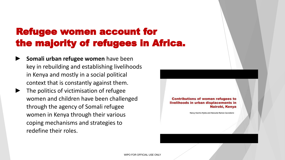# Refugee women account for the majority of refugees in Africa.

- **► Somali urban refugee women** have been key in rebuilding and establishing livelihoods in Kenya and mostly in a social political context that is constantly against them.
- The politics of victimisation of refugee women and children have been challenged through the agency of Somali refugee women in Kenya through their various coping mechanisms and strategies to redefine their roles.

**Contributions of women refugees to** livelihoods in urban displacements in Nairobi, Kenya

Nancy Kawira Nioka and Manuela Ramos Cacciatore

WIPO FOR OFFICIAL USE ONLY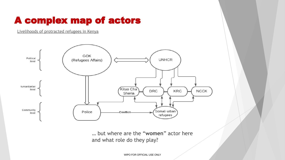#### A complex map of actors

[Livelihoods of protracted refugees in Kenya](https://rli.blogs.sas.ac.uk/2021/07/07/livelihoods-of-somali-urban-refugees-in-eastleigh-nairobi/)



… but where are the "**women**" actor here and what role do they play?

WIPO FOR OFFICIAL USE ONLY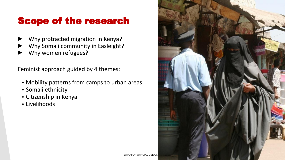### Scope of the research

- Why protracted migration in Kenya?
- Why Somali community in Easleight?
- Why women refugees?

Feminist approach guided by 4 themes:

- Mobility patterns from camps to urban areas
- Somali ethnicity
- Citizenship in Kenya
- Livelihoods

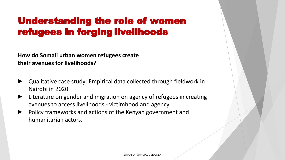## Understanding the role of women refugees in forging livelihoods

**How do Somali urban women refugees create their avenues for livelihoods?**

- ► Qualitative case study: Empirical data collected through fieldwork in Nairobi in 2020.
- ► Literature on gender and migration on agency of refugees in creating avenues to access livelihoods - victimhood and agency
- ► Policy frameworks and actions of the Kenyan government and humanitarian actors.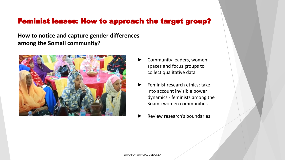#### Feminist lenses: How to approach the target group?

**How to notice and capture gender differences among the Somali community?**



- Community leaders, women spaces and focus groups to collect qualitative data
- ► Feminist research ethics: take into account invisible power dynamics - feminists among the Soamli women communities
- ► Review research's boundaries